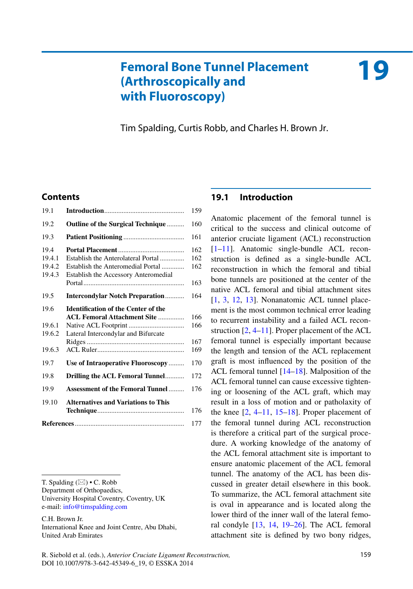# **Femoral Bone Tunnel Placement** (Arthroscopically and with Fluoroscopy)

19

Tim Spalding, Curtis Robb, and Charles H. Brown Jr.

### Contents

| 19.1              |                                            | 159 |  |  |
|-------------------|--------------------------------------------|-----|--|--|
| 19.2              | Outline of the Surgical Technique          | 160 |  |  |
| 19.3              |                                            | 161 |  |  |
| 19.4              |                                            | 162 |  |  |
| 19.4.1            | Establish the Anterolateral Portal         | 162 |  |  |
| 19.4.2            | Establish the Anteromedial Portal          | 162 |  |  |
| 19.4.3            | Establish the Accessory Anteromedial       |     |  |  |
|                   |                                            | 163 |  |  |
| 19.5              | <b>Intercondylar Notch Preparation</b>     | 164 |  |  |
| 19.6              | <b>Identification of the Center of the</b> |     |  |  |
|                   | <b>ACL Femoral Attachment Site </b>        | 166 |  |  |
| 19.6.1            |                                            | 166 |  |  |
| 19.6.2            | Lateral Intercondylar and Bifurcate        |     |  |  |
|                   |                                            | 167 |  |  |
| 19.6.3            |                                            | 169 |  |  |
| 19.7              | Use of Intraoperative Fluoroscopy          | 170 |  |  |
| 19.8              | Drilling the ACL Femoral Tunnel            | 172 |  |  |
| 19.9              | <b>Assessment of the Femoral Tunnel </b>   | 176 |  |  |
| 19.10             | Alternatives and Variations to This        |     |  |  |
|                   |                                            | 176 |  |  |
| <b>References</b> |                                            |     |  |  |

T. Spalding  $(\boxtimes) \cdot C$ . Robb Department of Orthopaedics, University Hospital Coventry, Coventry, UK e-mail: info@timspalding.com

 $C$  H Rrown Ir International Knee and Joint Centre, Abu Dhabi, **United Arab Emirates** 

#### Introduction 19.1

Anatomic placement of the femoral tunnel is critical to the success and clinical outcome of anterior cruciate ligament (ACL) reconstruction  $[1-11]$ . Anatomic single-bundle ACL reconstruction is defined as a single-bundle ACL reconstruction in which the femoral and tibial bone tunnels are positioned at the center of the native ACL femoral and tibial attachment sites  $[1, 3, 12, 13]$ . Nonanatomic ACL tunnel placement is the most common technical error leading to recurrent instability and a failed ACL reconstruction  $[2, 4-11]$ . Proper placement of the ACL femoral tunnel is especially important because the length and tension of the ACL replacement graft is most influenced by the position of the ACL femoral tunnel  $[14-18]$ . Malposition of the ACL femoral tunnel can cause excessive tightening or loosening of the ACL graft, which may result in a loss of motion and or patholaxity of the knee  $[2, 4-11, 15-18]$ . Proper placement of the femoral tunnel during ACL reconstruction is therefore a critical part of the surgical procedure. A working knowledge of the anatomy of the ACL femoral attachment site is important to ensure anatomic placement of the ACL femoral tunnel. The anatomy of the ACL has been discussed in greater detail elsewhere in this book. To summarize, the ACL femoral attachment site is oval in appearance and is located along the lower third of the inner wall of the lateral femoral condyle  $[13, 14, 19-26]$ . The ACL femoral attachment site is defined by two bony ridges,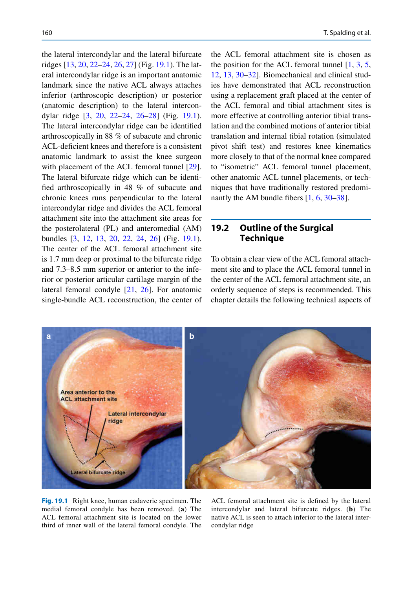the lateral intercondylar and the lateral bifurcate ridges [13, 20, 22-24, 26, 27] (Fig. 19.1). The lateral intercondylar ridge is an important anatomic landmark since the native ACL always attaches inferior (arthroscopic description) or posterior (anatomic description) to the lateral intercondylar ridge [3, 20, 22–24, 26–28] (Fig. 19.1). The lateral intercondylar ridge can be identified arthroscopically in 88 % of subacute and chronic ACL-deficient knees and therefore is a consistent anatomic landmark to assist the knee surgeon with placement of the ACL femoral tunnel [29]. The lateral bifurcate ridge which can be identified arthroscopically in 48 % of subacute and chronic knees runs perpendicular to the lateral intercondylar ridge and divides the ACL femoral attachment site into the attachment site areas for the posterolateral (PL) and anteromedial (AM) bundles [3, 12, 13, 20, 22, 24, 26] (Fig. 19.1). The center of the ACL femoral attachment site is 1.7 mm deep or proximal to the bifurcate ridge and 7.3–8.5 mm superior or anterior to the inferior or posterior articular cartilage margin of the lateral femoral condyle  $[21, 26]$ . For anatomic single-bundle ACL reconstruction, the center of

the ACL femoral attachment site is chosen as the position for the ACL femoral tunnel  $[1, 3, 5, 5]$ 12, 13, 30–32]. Biomechanical and clinical studies have demonstrated that ACL reconstruction using a replacement graft placed at the center of the ACL femoral and tibial attachment sites is more effective at controlling anterior tibial translation and the combined motions of anterior tibial translation and internal tibial rotation (simulated pivot shift test) and restores knee kinematics more closely to that of the normal knee compared to "isometric" ACL femoral tunnel placement, other anatomic ACL tunnel placements, or techniques that have traditionally restored predominantly the AM bundle fibers  $[1, 6, 30-38]$ .

### $19.2$ **Outline of the Surgical Technique**

To obtain a clear view of the ACL femoral attachment site and to place the ACL femoral tunnel in the center of the ACL femoral attachment site, an orderly sequence of steps is recommended. This chapter details the following technical aspects of



Fig. 19.1 Right knee, human cadaveric specimen. The medial femoral condyle has been removed. (a) The ACL femoral attachment site is located on the lower third of inner wall of the lateral femoral condyle. The

ACL femoral attachment site is defined by the lateral intercondylar and lateral bifurcate ridges. (b) The native ACL is seen to attach inferior to the lateral intercondylar ridge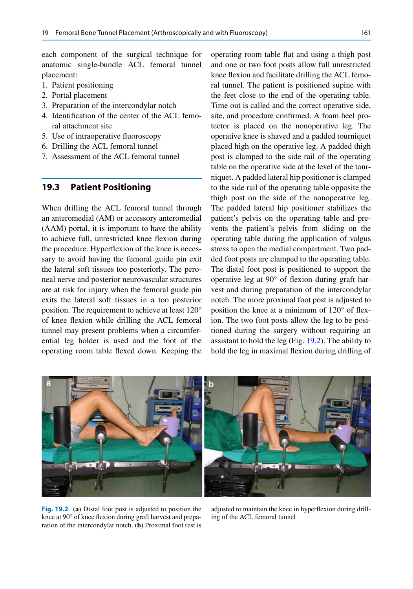each component of the surgical technique for anatomic single-bundle ACL femoral tunnel placement:

- 1. Patient positioning
- 2. Portal placement
- 3. Preparation of the intercondylar notch
- 4. Identification of the center of the ACL femoral attachment site
- 5. Use of intraoperative fluoroscopy
- 6. Drilling the ACL femoral tunnel
- 7. Assessment of the ACL femoral tunnel

#### 19.3 **Patient Positioning**

When drilling the ACL femoral tunnel through an anteromedial (AM) or accessory anteromedial (AAM) portal, it is important to have the ability to achieve full, unrestricted knee flexion during the procedure. Hyperflexion of the knee is necessary to avoid having the femoral guide pin exit the lateral soft tissues too posteriorly. The peroneal nerve and posterior neurovascular structures are at risk for injury when the femoral guide pin exits the lateral soft tissues in a too posterior position. The requirement to achieve at least 120° of knee flexion while drilling the ACL femoral tunnel may present problems when a circumferential leg holder is used and the foot of the operating room table flexed down. Keeping the

operating room table flat and using a thigh post and one or two foot posts allow full unrestricted knee flexion and facilitate drilling the ACL femoral tunnel. The patient is positioned supine with the feet close to the end of the operating table. Time out is called and the correct operative side, site, and procedure confirmed. A foam heel protector is placed on the nonoperative leg. The operative knee is shaved and a padded tourniquet placed high on the operative leg. A padded thigh post is clamped to the side rail of the operating table on the operative side at the level of the tourniquet. A padded lateral hip positioner is clamped to the side rail of the operating table opposite the thigh post on the side of the nonoperative leg. The padded lateral hip positioner stabilizes the patient's pelvis on the operating table and prevents the patient's pelvis from sliding on the operating table during the application of valgus stress to open the medial compartment. Two padded foot posts are clamped to the operating table. The distal foot post is positioned to support the operative leg at 90° of flexion during graft harvest and during preparation of the intercondylar notch. The more proximal foot post is adjusted to position the knee at a minimum of 120° of flexion. The two foot posts allow the leg to be positioned during the surgery without requiring an assistant to hold the leg  $(Fig. 19.2)$ . The ability to hold the leg in maximal flexion during drilling of



Fig. 19.2 (a) Distal foot post is adjusted to position the knee at 90° of knee flexion during graft harvest and preparation of the intercondylar notch. (b) Proximal foot rest is

adjusted to maintain the knee in hyperflexion during drilling of the ACL femoral tunnel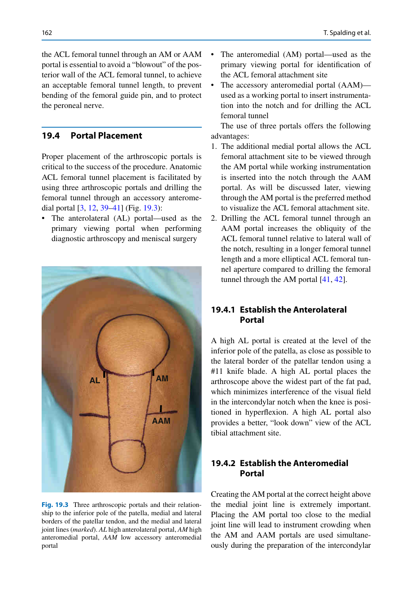the ACL femoral tunnel through an AM or AAM portal is essential to avoid a "blowout" of the posterior wall of the ACL femoral tunnel, to achieve an acceptable femoral tunnel length, to prevent bending of the femoral guide pin, and to protect the peroneal nerve.

#### 19.4 **Portal Placement**

Proper placement of the arthroscopic portals is critical to the success of the procedure. Anatomic ACL femoral tunnel placement is facilitated by using three arthroscopic portals and drilling the femoral tunnel through an accessory anteromedial portal [3, 12, 39–41] (Fig. 19.3):

• The anterolateral (AL) portal—used as the primary viewing portal when performing diagnostic arthroscopy and meniscal surgery



Fig. 19.3 Three arthroscopic portals and their relationship to the inferior pole of the patella, medial and lateral borders of the patellar tendon, and the medial and lateral joint lines (*marked*). AL high anterolateral portal, AM high anteromedial portal, AAM low accessory anteromedial portal

- The anteromedial (AM) portal—used as the primary viewing portal for identification of the ACL femoral attachment site
- The accessory anteromedial portal (AAM) used as a working portal to insert instrumentation into the notch and for drilling the ACL femoral tunnel

The use of three portals offers the following advantages:

- 1. The additional medial portal allows the ACL femoral attachment site to be viewed through the AM portal while working instrumentation is inserted into the notch through the AAM portal. As will be discussed later, viewing through the AM portal is the preferred method to visualize the ACL femoral attachment site.
- 2. Drilling the ACL femoral tunnel through an AAM portal increases the obliquity of the ACL femoral tunnel relative to lateral wall of the notch, resulting in a longer femoral tunnel length and a more elliptical ACL femoral tunnel aperture compared to drilling the femoral tunnel through the AM portal  $[41, 42]$ .

### 19.4.1 Establish the Anterolateral **Portal**

A high AL portal is created at the level of the inferior pole of the patella, as close as possible to the lateral border of the patellar tendon using a #11 knife blade. A high AL portal places the arthroscope above the widest part of the fat pad, which minimizes interference of the visual field in the intercondylar notch when the knee is positioned in hyperflexion. A high AL portal also provides a better, "look down" view of the ACL tibial attachment site.

## 19.4.2 Establish the Anteromedial **Portal**

Creating the AM portal at the correct height above the medial joint line is extremely important. Placing the AM portal too close to the medial joint line will lead to instrument crowding when the AM and AAM portals are used simultaneously during the preparation of the intercondylar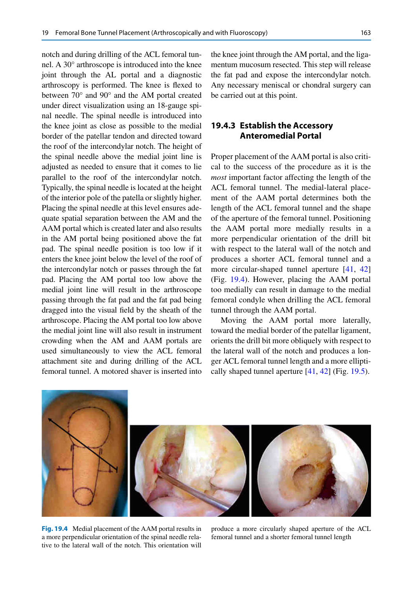notch and during drilling of the ACL femoral tunnel. A 30° arthroscope is introduced into the knee joint through the AL portal and a diagnostic arthroscopy is performed. The knee is flexed to between 70° and 90° and the AM portal created under direct visualization using an 18-gauge spinal needle. The spinal needle is introduced into the knee joint as close as possible to the medial border of the patellar tendon and directed toward the roof of the intercondylar notch. The height of the spinal needle above the medial joint line is adjusted as needed to ensure that it comes to lie parallel to the roof of the intercondylar notch. Typically, the spinal needle is located at the height of the interior pole of the patella or slightly higher. Placing the spinal needle at this level ensures adequate spatial separation between the AM and the AAM portal which is created later and also results in the AM portal being positioned above the fat pad. The spinal needle position is too low if it enters the knee joint below the level of the roof of the intercondylar notch or passes through the fat pad. Placing the AM portal too low above the medial joint line will result in the arthroscope passing through the fat pad and the fat pad being dragged into the visual field by the sheath of the arthroscope. Placing the AM portal too low above the medial joint line will also result in instrument crowding when the AM and AAM portals are used simultaneously to view the ACL femoral attachment site and during drilling of the ACL femoral tunnel. A motored shaver is inserted into

the knee joint through the AM portal, and the ligamentum mucosum resected. This step will release the fat pad and expose the intercondylar notch. Any necessary meniscal or chondral surgery can be carried out at this point.

### 19.4.3 Establish the Accessory **Anteromedial Portal**

Proper placement of the AAM portal is also critical to the success of the procedure as it is the most important factor affecting the length of the ACL femoral tunnel. The medial-lateral placement of the AAM portal determines both the length of the ACL femoral tunnel and the shape of the aperture of the femoral tunnel. Positioning the AAM portal more medially results in a more perpendicular orientation of the drill bit with respect to the lateral wall of the notch and produces a shorter ACL femoral tunnel and a more circular-shaped tunnel aperture [41, 42] (Fig. 19.4). However, placing the AAM portal too medially can result in damage to the medial femoral condyle when drilling the ACL femoral tunnel through the AAM portal.

Moving the AAM portal more laterally, toward the medial border of the patellar ligament, orients the drill bit more obliquely with respect to the lateral wall of the notch and produces a longer ACL femoral tunnel length and a more elliptically shaped tunnel aperture  $[41, 42]$  (Fig. 19.5).



Fig. 19.4 Medial placement of the AAM portal results in a more perpendicular orientation of the spinal needle relative to the lateral wall of the notch. This orientation will

produce a more circularly shaped aperture of the ACL femoral tunnel and a shorter femoral tunnel length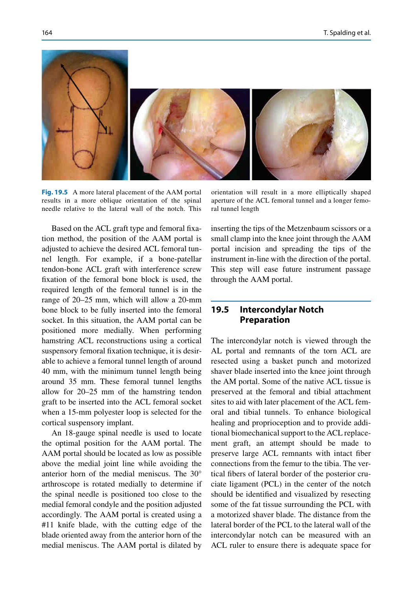

Fig. 19.5 A more lateral placement of the AAM portal results in a more oblique orientation of the spinal needle relative to the lateral wall of the notch. This

orientation will result in a more elliptically shaped aperture of the ACL femoral tunnel and a longer femoral tunnel length

Based on the ACL graft type and femoral fixation method, the position of the AAM portal is adjusted to achieve the desired ACL femoral tunnel length. For example, if a bone-patellar tendon-bone ACL graft with interference screw fixation of the femoral bone block is used, the required length of the femoral tunnel is in the range of 20–25 mm, which will allow a 20-mm bone block to be fully inserted into the femoral socket. In this situation, the AAM portal can be positioned more medially. When performing hamstring ACL reconstructions using a cortical suspensory femoral fixation technique, it is desirable to achieve a femoral tunnel length of around 40 mm, with the minimum tunnel length being around 35 mm. These femoral tunnel lengths allow for  $20-25$  mm of the hamstring tendon graft to be inserted into the ACL femoral socket when a 15-mm polyester loop is selected for the cortical suspensory implant.

An 18-gauge spinal needle is used to locate the optimal position for the AAM portal. The AAM portal should be located as low as possible above the medial joint line while avoiding the anterior horn of the medial meniscus. The 30° arthroscope is rotated medially to determine if the spinal needle is positioned too close to the medial femoral condyle and the position adjusted accordingly. The AAM portal is created using a #11 knife blade, with the cutting edge of the blade oriented away from the anterior horn of the medial meniscus. The AAM portal is dilated by

inserting the tips of the Metzenbaum scissors or a small clamp into the knee joint through the AAM portal incision and spreading the tips of the instrument in-line with the direction of the portal. This step will ease future instrument passage through the AAM portal.

#### 19.5 **Intercondylar Notch Preparation**

The intercondylar notch is viewed through the AL portal and remnants of the torn ACL are resected using a basket punch and motorized shaver blade inserted into the knee joint through the AM portal. Some of the native ACL tissue is preserved at the femoral and tibial attachment sites to aid with later placement of the ACL femoral and tibial tunnels. To enhance biological healing and proprioception and to provide additional biomechanical support to the ACL replacement graft, an attempt should be made to preserve large ACL remnants with intact fiber connections from the femur to the tibia. The vertical fibers of lateral border of the posterior cruciate ligament (PCL) in the center of the notch should be identified and visualized by resecting some of the fat tissue surrounding the PCL with a motorized shaver blade. The distance from the lateral border of the PCL to the lateral wall of the intercondylar notch can be measured with an ACL ruler to ensure there is adequate space for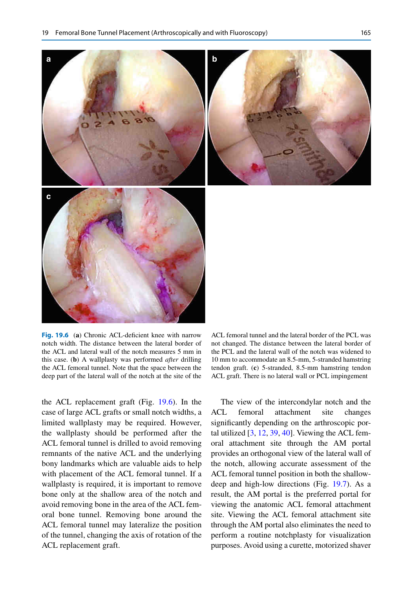

Fig. 19.6 (a) Chronic ACL-deficient knee with narrow notch width. The distance between the lateral border of the ACL and lateral wall of the notch measures 5 mm in this case. (b) A wallplasty was performed *after* drilling the ACL femoral tunnel. Note that the space between the deep part of the lateral wall of the notch at the site of the

the ACL replacement graft (Fig. 19.6). In the case of large ACL grafts or small notch widths, a limited wallplasty may be required. However, the wallplasty should be performed after the ACL femoral tunnel is drilled to avoid removing remnants of the native ACL and the underlying bony landmarks which are valuable aids to help with placement of the ACL femoral tunnel. If a wallplasty is required, it is important to remove bone only at the shallow area of the notch and avoid removing bone in the area of the ACL femoral bone tunnel. Removing bone around the ACL femoral tunnel may lateralize the position of the tunnel, changing the axis of rotation of the ACL replacement graft.

ACL femoral tunnel and the lateral border of the PCL was not changed. The distance between the lateral border of the PCL and the lateral wall of the notch was widened to 10 mm to accommodate an 8.5-mm, 5-stranded hamstring tendon graft. (c) 5-stranded, 8.5-mm hamstring tendon ACL graft. There is no lateral wall or PCL impingement

The view of the intercondylar notch and the **ACL** femoral attachment site changes significantly depending on the arthroscopic portal utilized  $[3, 12, 39, 40]$ . Viewing the ACL femoral attachment site through the AM portal provides an orthogonal view of the lateral wall of the notch, allowing accurate assessment of the ACL femoral tunnel position in both the shallowdeep and high-low directions (Fig. 19.7). As a result, the AM portal is the preferred portal for viewing the anatomic ACL femoral attachment site. Viewing the ACL femoral attachment site through the AM portal also eliminates the need to perform a routine notchplasty for visualization purposes. Avoid using a curette, motorized shaver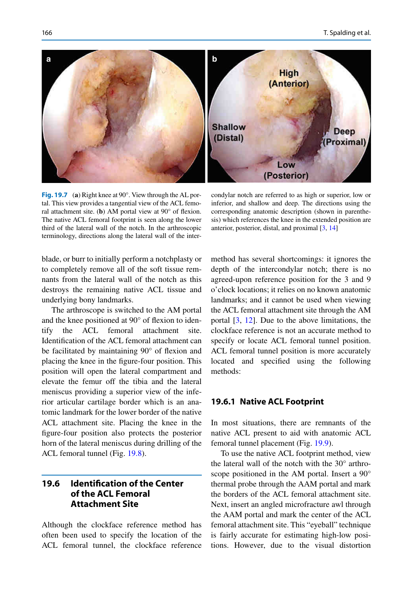

Fig. 19.7 (a) Right knee at  $90^\circ$ . View through the AL portal. This view provides a tangential view of the ACL femoral attachment site. (b) AM portal view at  $90^{\circ}$  of flexion. The native ACL femoral footprint is seen along the lower third of the lateral wall of the notch. In the arthroscopic terminology, directions along the lateral wall of the inter-

condylar notch are referred to as high or superior, low or inferior, and shallow and deep. The directions using the corresponding anatomic description (shown in parenthesis) which references the knee in the extended position are anterior, posterior, distal, and proximal [3, 14]

blade, or burr to initially perform a notchplasty or to completely remove all of the soft tissue remnants from the lateral wall of the notch as this destroys the remaining native ACL tissue and underlying bony landmarks.

The arthroscope is switched to the AM portal and the knee positioned at 90° of flexion to identify the **ACL** femoral attachment site. Identification of the ACL femoral attachment can be facilitated by maintaining 90° of flexion and placing the knee in the figure-four position. This position will open the lateral compartment and elevate the femur off the tibia and the lateral meniscus providing a superior view of the inferior articular cartilage border which is an anatomic landmark for the lower border of the native ACL attachment site. Placing the knee in the figure-four position also protects the posterior horn of the lateral meniscus during drilling of the ACL femoral tunnel (Fig. 19.8).

### **Identification of the Center** 19.6 of the ACL Femoral **Attachment Site**

Although the clockface reference method has often been used to specify the location of the ACL femoral tunnel, the clockface reference

method has several shortcomings: it ignores the depth of the intercondylar notch; there is no agreed-upon reference position for the 3 and 9 o'clock locations; it relies on no known anatomic landmarks; and it cannot be used when viewing the ACL femoral attachment site through the AM portal  $[3, 12]$ . Due to the above limitations, the clockface reference is not an accurate method to specify or locate ACL femoral tunnel position. ACL femoral tunnel position is more accurately located and specified using the following methods:

### **19.6.1 Native ACL Footprint**

In most situations, there are remnants of the native ACL present to aid with anatomic ACL femoral tunnel placement (Fig. 19.9).

To use the native ACL footprint method, view the lateral wall of the notch with the 30° arthroscope positioned in the AM portal. Insert a 90° thermal probe through the AAM portal and mark the borders of the ACL femoral attachment site. Next, insert an angled microfracture awl through the AAM portal and mark the center of the ACL femoral attachment site. This "eyeball" technique is fairly accurate for estimating high-low positions. However, due to the visual distortion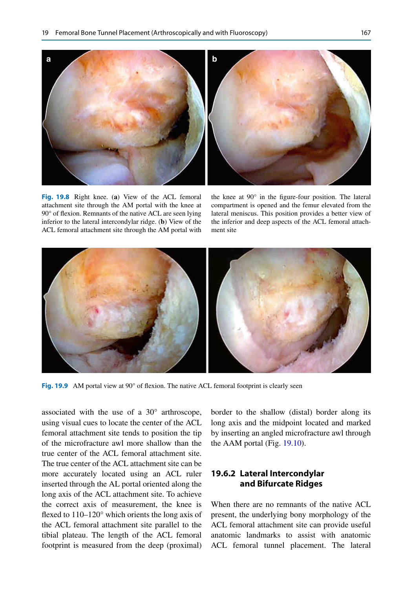

Fig. 19.8 Right knee. (a) View of the ACL femoral attachment site through the AM portal with the knee at  $90^{\circ}$  of flexion. Remnants of the native ACL are seen lying inferior to the lateral intercondylar ridge. (b) View of the ACL femoral attachment site through the AM portal with

the knee at 90° in the figure-four position. The lateral compartment is opened and the femur elevated from the lateral meniscus. This position provides a better view of the inferior and deep aspects of the ACL femoral attachment site



Fig. 19.9 AM portal view at 90° of flexion. The native ACL femoral footprint is clearly seen

associated with the use of a  $30^{\circ}$  arthroscope, using visual cues to locate the center of the ACL femoral attachment site tends to position the tip of the microfracture awl more shallow than the true center of the ACL femoral attachment site. The true center of the ACL attachment site can be more accurately located using an ACL ruler inserted through the AL portal oriented along the long axis of the ACL attachment site. To achieve the correct axis of measurement, the knee is flexed to  $110-120^\circ$  which orients the long axis of the ACL femoral attachment site parallel to the tibial plateau. The length of the ACL femoral footprint is measured from the deep (proximal)

border to the shallow (distal) border along its long axis and the midpoint located and marked by inserting an angled microfracture awl through the AAM portal (Fig. 19.10).

## 19.6.2 Lateral Intercondylar and Bifurcate Ridges

When there are no remnants of the native ACL present, the underlying bony morphology of the ACL femoral attachment site can provide useful anatomic landmarks to assist with anatomic ACL femoral tunnel placement. The lateral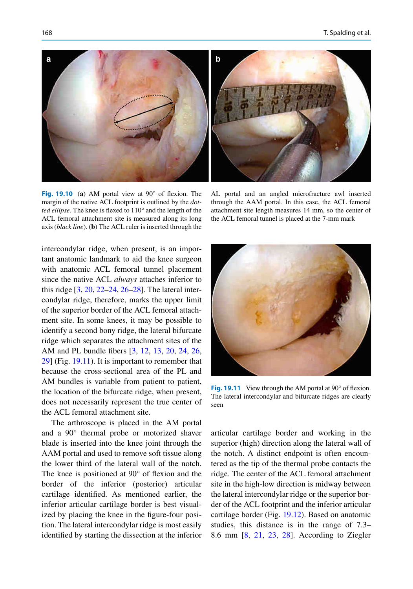

Fig. 19.10 (a) AM portal view at  $90^\circ$  of flexion. The margin of the native ACL footprint is outlined by the *dot*ted ellipse. The knee is flexed to 110° and the length of the ACL femoral attachment site is measured along its long axis (black line). (b) The ACL ruler is inserted through the

AL portal and an angled microfracture awl inserted through the AAM portal. In this case, the ACL femoral attachment site length measures 14 mm, so the center of the ACL femoral tunnel is placed at the 7-mm mark

intercondylar ridge, when present, is an important anatomic landmark to aid the knee surgeon with anatomic ACL femoral tunnel placement since the native ACL *always* attaches inferior to this ridge  $[3, 20, 22-24, 26-28]$ . The lateral intercondylar ridge, therefore, marks the upper limit of the superior border of the ACL femoral attachment site. In some knees, it may be possible to identify a second bony ridge, the lateral bifurcate ridge which separates the attachment sites of the AM and PL bundle fibers [3, 12, 13, 20, 24, 26,  $29$ ] (Fig. 19.11). It is important to remember that because the cross-sectional area of the PL and AM bundles is variable from patient to patient, the location of the bifurcate ridge, when present, does not necessarily represent the true center of the ACL femoral attachment site.

The arthroscope is placed in the AM portal and a 90° thermal probe or motorized shaver blade is inserted into the knee joint through the AAM portal and used to remove soft tissue along the lower third of the lateral wall of the notch. The knee is positioned at  $90^{\circ}$  of flexion and the border of the inferior (posterior) articular cartilage identified. As mentioned earlier, the inferior articular cartilage border is best visualized by placing the knee in the figure-four position. The lateral intercondylar ridge is most easily identified by starting the dissection at the inferior



Fig. 19.11 View through the AM portal at  $90^\circ$  of flexion. The lateral intercondylar and bifurcate ridges are clearly seen

articular cartilage border and working in the superior (high) direction along the lateral wall of the notch. A distinct endpoint is often encountered as the tip of the thermal probe contacts the ridge. The center of the ACL femoral attachment site in the high-low direction is midway between the lateral intercondylar ridge or the superior border of the ACL footprint and the inferior articular cartilage border (Fig. 19.12). Based on anatomic studies, this distance is in the range of 7.3– 8.6 mm [8, 21, 23, 28]. According to Ziegler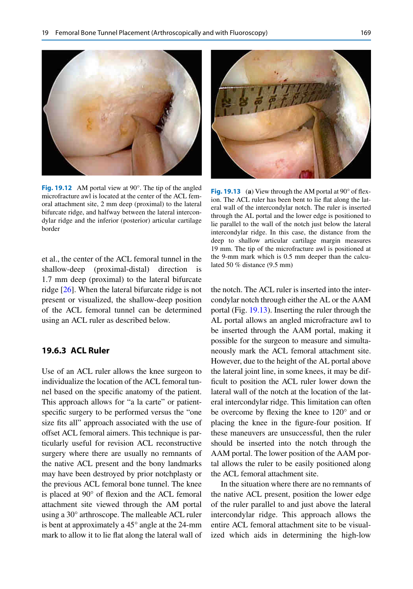

Fig. 19.12 AM portal view at 90°. The tip of the angled microfracture awl is located at the center of the ACL femoral attachment site, 2 mm deep (proximal) to the lateral bifurcate ridge, and halfway between the lateral intercondylar ridge and the inferior (posterior) articular cartilage border

et al., the center of the ACL femoral tunnel in the shallow-deep (proximal-distal) direction is 1.7 mm deep (proximal) to the lateral bifurcate ridge  $[26]$ . When the lateral bifurcate ridge is not present or visualized, the shallow-deep position of the ACL femoral tunnel can be determined using an ACL ruler as described below.

### **19.6.3 ACL Ruler**

Use of an ACL ruler allows the knee surgeon to individualize the location of the ACL femoral tunnel based on the specific anatomy of the patient. This approach allows for "a la carte" or patientspecific surgery to be performed versus the "one size fits all" approach associated with the use of offset ACL femoral aimers. This technique is particularly useful for revision ACL reconstructive surgery where there are usually no remnants of the native ACL present and the bony landmarks may have been destroyed by prior notchplasty or the previous ACL femoral bone tunnel. The knee is placed at 90° of flexion and the ACL femoral attachment site viewed through the AM portal using a 30° arthroscope. The malleable ACL ruler is bent at approximately a  $45^{\circ}$  angle at the 24-mm mark to allow it to lie flat along the lateral wall of



Fig. 19.13 (a) View through the AM portal at  $90^\circ$  of flexion. The ACL ruler has been bent to lie flat along the lateral wall of the intercondylar notch. The ruler is inserted through the AL portal and the lower edge is positioned to lie parallel to the wall of the notch just below the lateral intercondylar ridge. In this case, the distance from the deep to shallow articular cartilage margin measures 19 mm. The tip of the microfracture awl is positioned at the 9-mm mark which is 0.5 mm deeper than the calculated 50  $%$  distance (9.5 mm)

the notch. The ACL ruler is inserted into the intercondylar notch through either the AL or the AAM portal (Fig. 19.13). Inserting the ruler through the AL portal allows an angled microfracture awl to be inserted through the AAM portal, making it possible for the surgeon to measure and simultaneously mark the ACL femoral attachment site. However, due to the height of the AL portal above the lateral joint line, in some knees, it may be difficult to position the ACL ruler lower down the lateral wall of the notch at the location of the lateral intercondylar ridge. This limitation can often be overcome by flexing the knee to  $120^{\circ}$  and or placing the knee in the figure-four position. If these maneuvers are unsuccessful, then the ruler should be inserted into the notch through the AAM portal. The lower position of the AAM portal allows the ruler to be easily positioned along the ACL femoral attachment site.

In the situation where there are no remnants of the native ACL present, position the lower edge of the ruler parallel to and just above the lateral intercondylar ridge. This approach allows the entire ACL femoral attachment site to be visualized which aids in determining the high-low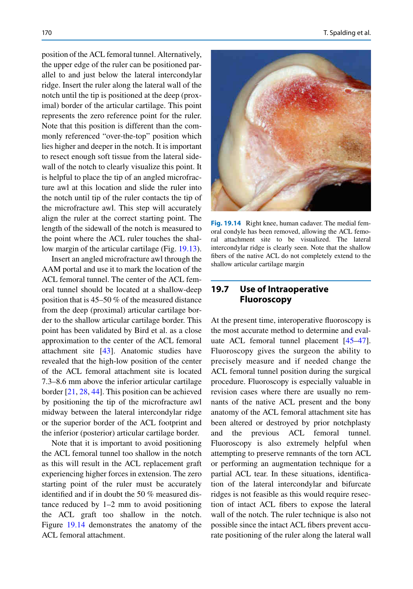position of the ACL femoral tunnel. Alternatively, the upper edge of the ruler can be positioned parallel to and just below the lateral intercondylar ridge. Insert the ruler along the lateral wall of the notch until the tip is positioned at the deep (proximal) border of the articular cartilage. This point represents the zero reference point for the ruler. Note that this position is different than the commonly referenced "over-the-top" position which lies higher and deeper in the notch. It is important to resect enough soft tissue from the lateral sidewall of the notch to clearly visualize this point. It is helpful to place the tip of an angled microfracture awl at this location and slide the ruler into the notch until tip of the ruler contacts the tip of the microfracture awl. This step will accurately align the ruler at the correct starting point. The length of the sidewall of the notch is measured to the point where the ACL ruler touches the shallow margin of the articular cartilage (Fig. 19.13).

Insert an angled microfracture awl through the AAM portal and use it to mark the location of the ACL femoral tunnel. The center of the ACL femoral tunnel should be located at a shallow-deep position that is  $45-50\%$  of the measured distance from the deep (proximal) articular cartilage border to the shallow articular cartilage border. This point has been validated by Bird et al. as a close approximation to the center of the ACL femoral attachment site  $[43]$ . Anatomic studies have revealed that the high-low position of the center of the ACL femoral attachment site is located 7.3–8.6 mm above the inferior articular cartilage border  $[21, 28, 44]$ . This position can be achieved by positioning the tip of the microfracture awl midway between the lateral intercondylar ridge or the superior border of the ACL footprint and the inferior (posterior) articular cartilage border.

Note that it is important to avoid positioning the ACL femoral tunnel too shallow in the notch as this will result in the ACL replacement graft experiencing higher forces in extension. The zero starting point of the ruler must be accurately identified and if in doubt the 50 % measured distance reduced by  $1-2$  mm to avoid positioning the ACL graft too shallow in the notch. Figure 19.14 demonstrates the anatomy of the ACL femoral attachment.



Fig. 19.14 Right knee, human cadaver. The medial femoral condyle has been removed, allowing the ACL femoral attachment site to be visualized. The lateral intercondylar ridge is clearly seen. Note that the shallow fibers of the native ACL do not completely extend to the shallow articular cartilage margin

### 19.7 **Use of Intraoperative Fluoroscopy**

At the present time, interoperative fluoroscopy is the most accurate method to determine and evaluate ACL femoral tunnel placement [45–47]. Fluoroscopy gives the surgeon the ability to precisely measure and if needed change the ACL femoral tunnel position during the surgical procedure. Fluoroscopy is especially valuable in revision cases where there are usually no remnants of the native ACL present and the bony anatomy of the ACL femoral attachment site has been altered or destroyed by prior notchplasty the previous ACL femoral tunnel. and Fluoroscopy is also extremely helpful when attempting to preserve remnants of the torn ACL or performing an augmentation technique for a partial ACL tear. In these situations, identification of the lateral intercondylar and bifurcate ridges is not feasible as this would require resection of intact ACL fibers to expose the lateral wall of the notch. The ruler technique is also not possible since the intact ACL fibers prevent accurate positioning of the ruler along the lateral wall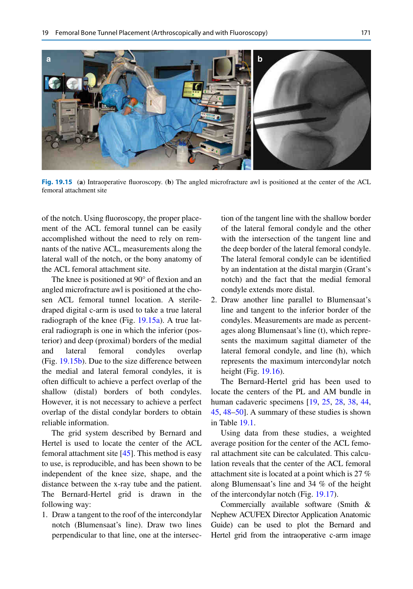

Fig. 19.15 (a) Intraoperative fluoroscopy. (b) The angled microfracture awl is positioned at the center of the ACL femoral attachment site

of the notch. Using fluoroscopy, the proper placement of the ACL femoral tunnel can be easily accomplished without the need to rely on remnants of the native ACL, measurements along the lateral wall of the notch, or the bony anatomy of the ACL femoral attachment site.

The knee is positioned at  $90^{\circ}$  of flexion and an angled microfracture awl is positioned at the chosen ACL femoral tunnel location. A steriledraped digital c-arm is used to take a true lateral radiograph of the knee (Fig. 19.15a). A true lateral radiograph is one in which the inferior (posterior) and deep (proximal) borders of the medial lateral overlap and femoral condyles (Fig. 19.15b). Due to the size difference between the medial and lateral femoral condyles, it is often difficult to achieve a perfect overlap of the shallow (distal) borders of both condyles. However, it is not necessary to achieve a perfect overlap of the distal condylar borders to obtain reliable information.

The grid system described by Bernard and Hertel is used to locate the center of the ACL femoral attachment site  $[45]$ . This method is easy to use, is reproducible, and has been shown to be independent of the knee size, shape, and the distance between the x-ray tube and the patient. The Bernard-Hertel grid is drawn in the following way:

1. Draw a tangent to the roof of the intercondylar notch (Blumensaat's line). Draw two lines perpendicular to that line, one at the intersection of the tangent line with the shallow border of the lateral femoral condyle and the other with the intersection of the tangent line and the deep border of the lateral femoral condyle. The lateral femoral condyle can be identified by an indentation at the distal margin (Grant's notch) and the fact that the medial femoral condyle extends more distal.

2. Draw another line parallel to Blumensaat's line and tangent to the inferior border of the condyles. Measurements are made as percentages along Blumensaat's line (t), which represents the maximum sagittal diameter of the lateral femoral condyle, and line (h), which represents the maximum intercondylar notch height (Fig. 19.16).

The Bernard-Hertel grid has been used to locate the centers of the PL and AM bundle in human cadaveric specimens [19, 25, 28, 38, 44,  $(45, 48-50)$ . A summary of these studies is shown in Table  $19.1$ .

Using data from these studies, a weighted average position for the center of the ACL femoral attachment site can be calculated. This calculation reveals that the center of the ACL femoral attachment site is located at a point which is 27 % along Blumensaat's line and 34 % of the height of the intercondylar notch (Fig. 19.17).

Commercially available software (Smith & Nephew ACUFEX Director Application Anatomic Guide) can be used to plot the Bernard and Hertel grid from the intraoperative c-arm image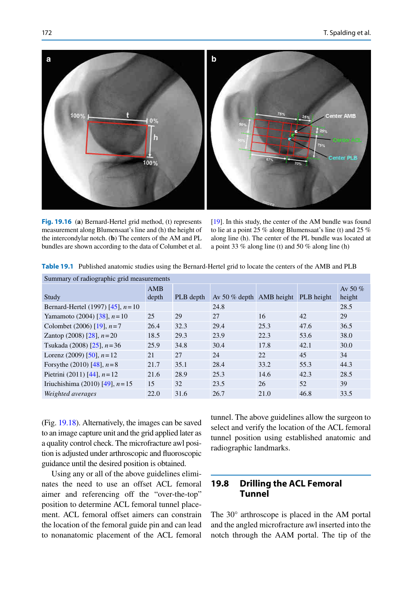

Fig. 19.16 (a) Bernard-Hertel grid method, (t) represents measurement along Blumensaat's line and (h) the height of the intercondylar notch. (b) The centers of the AM and PL bundles are shown according to the data of Columbet et al.

[19]. In this study, the center of the AM bundle was found to lie at a point 25 % along Blumensaat's line (t) and 25 % along line (h). The center of the PL bundle was located at a point 33  $%$  along line (t) and 50  $%$  along line (h)

| Summary of radiographic grid measurements |       |           |                             |      |            |           |  |  |  |
|-------------------------------------------|-------|-----------|-----------------------------|------|------------|-----------|--|--|--|
|                                           | AMB   |           |                             |      |            | Av 50 $%$ |  |  |  |
| Study                                     | depth | PLB depth | Av 50 $\%$ depth AMB height |      | PLB height | height    |  |  |  |
| Bernard-Hertel (1997) [45], $n = 10$      |       |           | 24.8                        |      |            | 28.5      |  |  |  |
| Yamamoto (2004) [38], $n = 10$            | 25    | 29        | 27                          | 16   | 42         | 29        |  |  |  |
| Colombet (2006) [19], $n=7$               | 26.4  | 32.3      | 29.4                        | 25.3 | 47.6       | 36.5      |  |  |  |
| Zantop (2008) [28], $n=20$                | 18.5  | 29.3      | 23.9                        | 22.3 | 53.6       | 38.0      |  |  |  |
| Tsukada (2008) [25], $n = 36$             | 25.9  | 34.8      | 30.4                        | 17.8 | 42.1       | 30.0      |  |  |  |
| Lorenz (2009) [50], $n=12$                | 21    | 27        | 24                          | 22   | 45         | 34        |  |  |  |
| Forsythe $(2010)$ [48], $n=8$             | 21.7  | 35.1      | 28.4                        | 33.2 | 55.3       | 44.3      |  |  |  |
| Pietrini (2011) [44], $n = 12$            | 21.6  | 28.9      | 25.3                        | 14.6 | 42.3       | 28.5      |  |  |  |
| Iriuchishima (2010) [49], $n = 15$        | 15    | 32        | 23.5                        | 26   | 52         | 39        |  |  |  |
| Weighted averages                         | 22.0  | 31.6      | 26.7                        | 21.0 | 46.8       | 33.5      |  |  |  |
|                                           |       |           |                             |      |            |           |  |  |  |

Table 19.1 Published anatomic studies using the Bernard-Hertel grid to locate the centers of the AMB and PLB

(Fig. 19.18). Alternatively, the images can be saved to an image capture unit and the grid applied later as a quality control check. The microfracture awl position is adjusted under arthroscopic and fluoroscopic guidance until the desired position is obtained.

Using any or all of the above guidelines eliminates the need to use an offset ACL femoral aimer and referencing off the "over-the-top" position to determine ACL femoral tunnel placement. ACL femoral offset aimers can constrain the location of the femoral guide pin and can lead to nonanatomic placement of the ACL femoral tunnel. The above guidelines allow the surgeon to select and verify the location of the ACL femoral tunnel position using established anatomic and radiographic landmarks.

#### **Drilling the ACL Femoral** 19.8 **Tunnel**

The 30° arthroscope is placed in the AM portal and the angled microfracture awl inserted into the notch through the AAM portal. The tip of the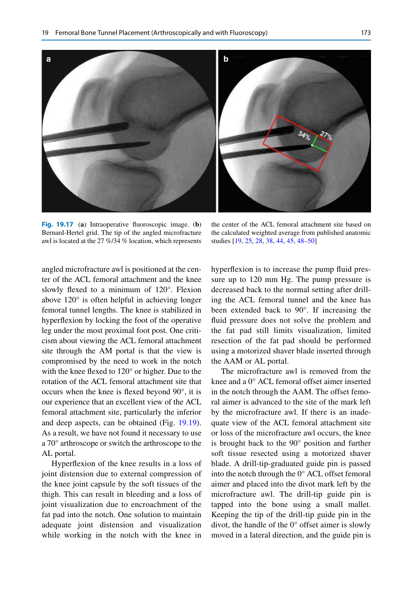

Fig. 19.17 (a) Intraoperative fluoroscopic image. (b) Bernard-Hertel grid. The tip of the angled microfracture awl is located at the 27 %/34 % location, which represents

angled microfracture awl is positioned at the center of the ACL femoral attachment and the knee slowly flexed to a minimum of 120°. Flexion above 120° is often helpful in achieving longer femoral tunnel lengths. The knee is stabilized in hyperflexion by locking the foot of the operative leg under the most proximal foot post. One criticism about viewing the ACL femoral attachment site through the AM portal is that the view is compromised by the need to work in the notch with the knee flexed to  $120^{\circ}$  or higher. Due to the rotation of the ACL femoral attachment site that occurs when the knee is flexed beyond  $90^\circ$ , it is our experience that an excellent view of the ACL femoral attachment site, particularly the inferior and deep aspects, can be obtained (Fig. 19.19). As a result, we have not found it necessary to use a 70° arthroscope or switch the arthroscope to the AL portal.

Hyperflexion of the knee results in a loss of joint distension due to external compression of the knee joint capsule by the soft tissues of the thigh. This can result in bleeding and a loss of joint visualization due to encroachment of the fat pad into the notch. One solution to maintain adequate joint distension and visualization while working in the notch with the knee in

the center of the ACL femoral attachment site based on the calculated weighted average from published anatomic studies [19, 25, 28, 38, 44, 45, 48–50]

hyperflexion is to increase the pump fluid pressure up to 120 mm Hg. The pump pressure is decreased back to the normal setting after drilling the ACL femoral tunnel and the knee has been extended back to 90°. If increasing the fluid pressure does not solve the problem and the fat pad still limits visualization, limited resection of the fat pad should be performed using a motorized shaver blade inserted through the AAM or AL portal.

The microfracture awl is removed from the knee and a  $0^{\circ}$  ACL femoral offset aimer inserted in the notch through the AAM. The offset femoral aimer is advanced to the site of the mark left by the microfracture awl. If there is an inadequate view of the ACL femoral attachment site or loss of the microfracture awl occurs, the knee is brought back to the  $90^\circ$  position and further soft tissue resected using a motorized shaver blade. A drill-tip-graduated guide pin is passed into the notch through the 0° ACL offset femoral aimer and placed into the divot mark left by the microfracture awl. The drill-tip guide pin is tapped into the bone using a small mallet. Keeping the tip of the drill-tip guide pin in the divot, the handle of the  $0^{\circ}$  offset aimer is slowly moved in a lateral direction, and the guide pin is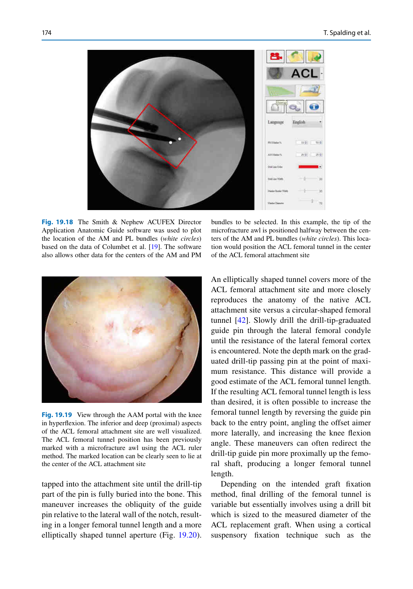

Fig. 19.18 The Smith & Nephew ACUFEX Director Application Anatomic Guide software was used to plot the location of the AM and PL bundles (white circles) based on the data of Columbet et al. [19]. The software also allows other data for the centers of the AM and PM

bundles to be selected. In this example, the tip of the microfracture awl is positioned halfway between the centers of the AM and PL bundles (white circles). This location would position the ACL femoral tunnel in the center of the ACL femoral attachment site



Fig. 19.19 View through the AAM portal with the knee in hyperflexion. The inferior and deep (proximal) aspects of the ACL femoral attachment site are well visualized. The ACL femoral tunnel position has been previously marked with a microfracture awl using the ACL ruler method. The marked location can be clearly seen to lie at the center of the ACL attachment site

tapped into the attachment site until the drill-tip part of the pin is fully buried into the bone. This maneuver increases the obliquity of the guide pin relative to the lateral wall of the notch, resulting in a longer femoral tunnel length and a more elliptically shaped tunnel aperture (Fig. 19.20).

An elliptically shaped tunnel covers more of the ACL femoral attachment site and more closely reproduces the anatomy of the native ACL attachment site versus a circular-shaped femoral tunnel  $[42]$ . Slowly drill the drill-tip-graduated guide pin through the lateral femoral condyle until the resistance of the lateral femoral cortex is encountered. Note the depth mark on the graduated drill-tip passing pin at the point of maximum resistance. This distance will provide a good estimate of the ACL femoral tunnel length. If the resulting ACL femoral tunnel length is less than desired, it is often possible to increase the femoral tunnel length by reversing the guide pin back to the entry point, angling the offset aimer more laterally, and increasing the knee flexion angle. These maneuvers can often redirect the drill-tip guide pin more proximally up the femoral shaft, producing a longer femoral tunnel length.

Depending on the intended graft fixation method, final drilling of the femoral tunnel is variable but essentially involves using a drill bit which is sized to the measured diameter of the ACL replacement graft. When using a cortical suspensory fixation technique such as the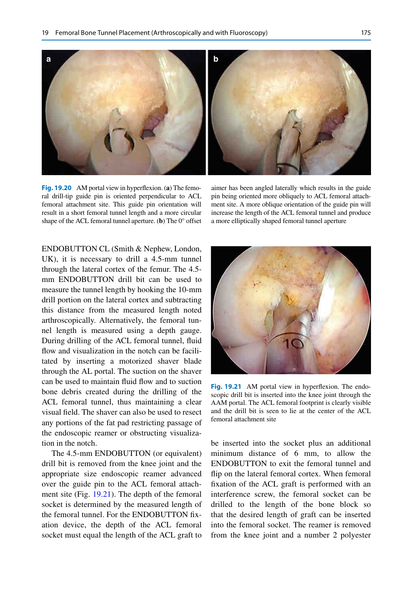

Fig. 19.20 AM portal view in hyperflexion. (a) The femoral drill-tip guide pin is oriented perpendicular to ACL femoral attachment site. This guide pin orientation will result in a short femoral tunnel length and a more circular shape of the ACL femoral tunnel aperture. (b) The  $0^{\circ}$  offset

aimer has been angled laterally which results in the guide pin being oriented more obliquely to ACL femoral attachment site. A more oblique orientation of the guide pin will increase the length of the ACL femoral tunnel and produce a more elliptically shaped femoral tunnel aperture

ENDOBUTTON CL (Smith & Nephew, London, UK), it is necessary to drill a 4.5-mm tunnel through the lateral cortex of the femur. The 4.5mm ENDOBUTTON drill bit can be used to measure the tunnel length by hooking the 10-mm drill portion on the lateral cortex and subtracting this distance from the measured length noted arthroscopically. Alternatively, the femoral tunnel length is measured using a depth gauge. During drilling of the ACL femoral tunnel, fluid flow and visualization in the notch can be facilitated by inserting a motorized shaver blade through the AL portal. The suction on the shaver can be used to maintain fluid flow and to suction bone debris created during the drilling of the ACL femoral tunnel, thus maintaining a clear visual field. The shaver can also be used to resect any portions of the fat pad restricting passage of the endoscopic reamer or obstructing visualization in the notch.

The 4.5-mm ENDOBUTTON (or equivalent) drill bit is removed from the knee joint and the appropriate size endoscopic reamer advanced over the guide pin to the ACL femoral attachment site (Fig. 19.21). The depth of the femoral socket is determined by the measured length of the femoral tunnel. For the ENDOBUTTON fixation device, the depth of the ACL femoral socket must equal the length of the ACL graft to



Fig. 19.21 AM portal view in hyperflexion. The endoscopic drill bit is inserted into the knee joint through the AAM portal. The ACL femoral footprint is clearly visible and the drill bit is seen to lie at the center of the ACL femoral attachment site

be inserted into the socket plus an additional minimum distance of 6 mm, to allow the ENDOBUTTON to exit the femoral tunnel and flip on the lateral femoral cortex. When femoral fixation of the ACL graft is performed with an interference screw, the femoral socket can be drilled to the length of the bone block so that the desired length of graft can be inserted into the femoral socket. The reamer is removed from the knee joint and a number 2 polyester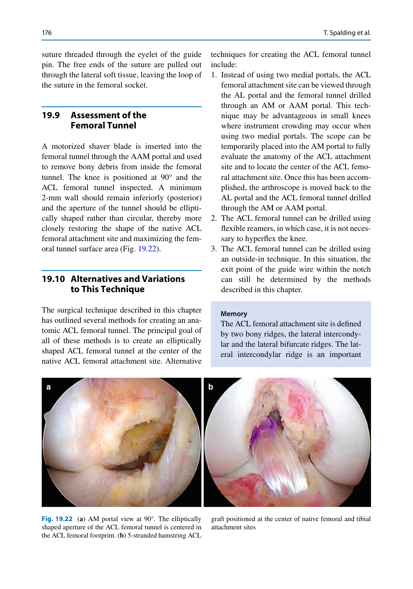suture threaded through the eyelet of the guide pin. The free ends of the suture are pulled out through the lateral soft tissue, leaving the loop of the suture in the femoral socket.

#### 19.9 **Assessment of the Femoral Tunnel**

A motorized shaver blade is inserted into the femoral tunnel through the AAM portal and used to remove bony debris from inside the femoral tunnel. The knee is positioned at 90° and the ACL femoral tunnel inspected. A minimum 2-mm wall should remain inferiorly (posterior) and the aperture of the tunnel should be elliptically shaped rather than circular, thereby more closely restoring the shape of the native ACL femoral attachment site and maximizing the femoral tunnel surface area (Fig. 19.22).

## **19.10 Alternatives and Variations** to This Technique

The surgical technique described in this chapter has outlined several methods for creating an anatomic ACL femoral tunnel. The principal goal of all of these methods is to create an elliptically shaped ACL femoral tunnel at the center of the native ACL femoral attachment site. Alternative

techniques for creating the ACL femoral tunnel include:

- 1. Instead of using two medial portals, the ACL femoral attachment site can be viewed through the AL portal and the femoral tunnel drilled through an AM or AAM portal. This technique may be advantageous in small knees where instrument crowding may occur when using two medial portals. The scope can be temporarily placed into the AM portal to fully evaluate the anatomy of the ACL attachment site and to locate the center of the ACL femoral attachment site. Once this has been accomplished, the arthroscope is moved back to the AL portal and the ACL femoral tunnel drilled through the AM or AAM portal.
- 2. The ACL femoral tunnel can be drilled using flexible reamers, in which case, it is not necessary to hyperflex the knee.
- 3. The ACL femoral tunnel can be drilled using an outside-in technique. In this situation, the exit point of the guide wire within the notch can still be determined by the methods described in this chapter.

### **Memory**

The ACL femoral attachment site is defined by two bony ridges, the lateral intercondylar and the lateral bifurcate ridges. The lateral intercondylar ridge is an important



Fig. 19.22 (a) AM portal view at  $90^\circ$ . The elliptically shaped aperture of the ACL femoral tunnel is centered in the ACL femoral footprint. (b) 5-stranded hamstring ACL

graft positioned at the center of native femoral and tibial attachment sites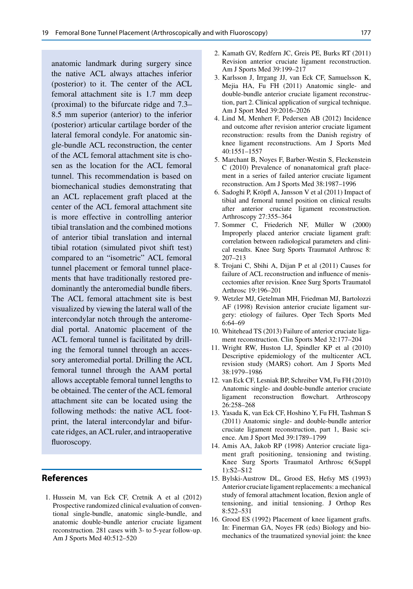anatomic landmark during surgery since the native ACL always attaches inferior (posterior) to it. The center of the ACL femoral attachment site is 1.7 mm deep (proximal) to the bifurcate ridge and 7.3– 8.5 mm superior (anterior) to the inferior (posterior) articular cartilage border of the lateral femoral condyle. For anatomic single-bundle ACL reconstruction, the center of the ACL femoral attachment site is chosen as the location for the ACL femoral tunnel. This recommendation is based on biomechanical studies demonstrating that an ACL replacement graft placed at the center of the ACL femoral attachment site is more effective in controlling anterior tibial translation and the combined motions of anterior tibial translation and internal tibial rotation (simulated pivot shift test) compared to an "isometric" ACL femoral tunnel placement or femoral tunnel placements that have traditionally restored predominantly the anteromedial bundle fibers. The ACL femoral attachment site is best visualized by viewing the lateral wall of the intercondylar notch through the anteromedial portal. Anatomic placement of the ACL femoral tunnel is facilitated by drilling the femoral tunnel through an accessory anteromedial portal. Drilling the ACL femoral tunnel through the AAM portal allows acceptable femoral tunnel lengths to be obtained. The center of the ACL femoral attachment site can be located using the following methods: the native ACL footprint, the lateral intercondylar and bifurcate ridges, an ACL ruler, and intraoperative fluoroscopy.

### **References**

1. Hussein M, van Eck CF, Cretnik A et al (2012) Prospective randomized clinical evaluation of conventional single-bundle, anatomic single-bundle, and anatomic double-bundle anterior cruciate ligament reconstruction. 281 cases with 3- to 5-year follow-up. Am J Sports Med 40:512-520

- 2. Kamath GV, Redfern JC, Greis PE, Burks RT (2011) Revision anterior cruciate ligament reconstruction. Am J Sports Med 39:199-217
- 3. Karlsson J, Irrgang JJ, van Eck CF, Samuelsson K, Mejia HA, Fu FH (2011) Anatomic single- and double-bundle anterior cruciate ligament reconstruction, part 2. Clinical application of surgical technique. Am J Sport Med 39:2016-2026
- 4. Lind M, Menhert F, Pedersen AB (2012) Incidence and outcome after revision anterior cruciate ligament reconstruction: results from the Danish registry of knee ligament reconstructions. Am J Sports Med 40:1551-1557
- 5. Marchant B, Noyes F, Barber-Westin S, Fleckenstein C (2010) Prevalence of nonanatomical graft placement in a series of failed anterior cruciate ligament reconstruction. Am J Sports Med 38:1987-1996
- 6. Sadoghi P, Kröpfl A, Jansson V et al (2011) Impact of tibial and femoral tunnel position on clinical results after anterior cruciate ligament reconstruction. Arthroscopy 27:355-364
- 7. Sommer C, Friederich NF, Müller W (2000) Improperly placed anterior cruciate ligament graft: correlation between radiological parameters and clinical results. Knee Surg Sports Traumatol Arthrosc 8:  $207 - 213$
- 8. Trojani C, Sbihi A, Dijan P et al (2011) Causes for failure of ACL reconstruction and influence of meniscectomies after revision. Knee Surg Sports Traumatol Arthrosc 19:196-201
- 9. Wetzler MJ, Getelman MH, Friedman MJ, Bartolozzi AF (1998) Revision anterior cruciate ligament surgery: etiology of failures. Oper Tech Sports Med  $6:64 - 69$
- 10. Whitehead TS (2013) Failure of anterior cruciate ligament reconstruction. Clin Sports Med 32:177-204
- 11. Wright RW, Huston LJ, Spindler KP et al (2010) Descriptive epidemiology of the multicenter ACL revision study (MARS) cohort. Am J Sports Med 38:1979-1986
- 12. van Eck CF, Lesniak BP, Schreiber VM, Fu FH (2010) Anatomic single- and double-bundle anterior cruciate ligament reconstruction flowchart. Arthroscopy  $26:258 - 268$
- 13. Yasada K, van Eck CF, Hoshino Y, Fu FH, Tashman S (2011) Anatomic single- and double-bundle anterior cruciate ligament reconstruction, part 1, Basic science. Am J Sport Med 39:1789-1799
- 14. Amis AA, Jakob RP (1998) Anterior cruciate ligament graft positioning, tensioning and twisting. Knee Surg Sports Traumatol Arthrosc 6(Suppl  $1):S2-S12$
- 15. Bylski-Austrow DL, Grood ES, Hefsy MS (1993) Anterior cruciate ligament replacements: a mechanical study of femoral attachment location, flexion angle of tensioning, and initial tensioning. J Orthop Res 8:522-531
- 16. Grood ES (1992) Placement of knee ligament grafts. In: Finerman GA, Noves FR (eds) Biology and biomechanics of the traumatized synovial joint: the knee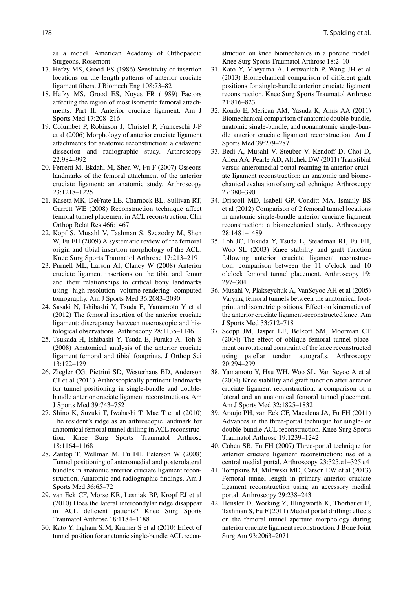as a model. American Academy of Orthopaedic Surgeons, Rosemont

- 17. Hefzy MS, Grood ES (1986) Sensitivity of insertion locations on the length patterns of anterior cruciate ligament fibers. J Biomech Eng 108:73-82
- 18. Hefzy MS, Grood ES, Noyes FR (1989) Factors affecting the region of most isometric femoral attachments. Part II: Anterior cruciate ligament. Am J Sports Med 17:208-216
- 19. Columbet P, Robinson J, Christel P, Franceschi J-P et al (2006) Morphology of anterior cruciate ligament attachments for anatomic reconstruction: a cadaveric dissection and radiographic study. Arthroscopy 22:984-992
- 20. Ferretti M, Ekdahl M, Shen W, Fu F (2007) Osseous landmarks of the femoral attachment of the anterior cruciate ligament: an anatomic study. Arthroscopy 23:1218-1225
- 21. Kaseta MK, DeFrate LE, Charnock BL, Sullivan RT, Garrett WE (2008) Reconstruction technique affect femoral tunnel placement in ACL reconstruction. Clin Orthop Relat Res 466:1467
- 22. Kopf S, Musahl V, Tashman S, Szczodry M, Shen W, Fu FH (2009) A systematic review of the femoral origin and tibial insertion morphology of the ACL. Knee Surg Sports Traumatol Arthrosc 17:213-219
- 23. Purnell ML, Larson AI, Clancy W (2008) Anterior cruciate ligament insertions on the tibia and femur and their relationships to critical bony landmarks using high-resolution volume-rendering computed tomography. Am J Sports Med 36:2083-2090
- 24. Sasaki N, Ishibashi Y, Tsuda E, Yamamoto Y et al (2012) The femoral insertion of the anterior cruciate ligament: discrepancy between macroscopic and histological observations. Arthroscopy 28:1135-1146
- 25. Tsukada H, Ishibashi Y, Tsuda E, Furaka A, Toh S (2008) Anatomical analysis of the anterior cruciate ligament femoral and tibial footprints. J Orthop Sci 13:122-129
- 26. Ziegler CG, Pietrini SD, Westerhaus BD, Anderson CJ et al (2011) Arthroscopically pertinent landmarks for tunnel positioning in single-bundle and doublebundle anterior cruciate ligament reconstructions. Am J Sports Med 39:743-752
- 27. Shino K, Suzuki T, Iwahashi T, Mae T et al (2010) The resident's ridge as an arthroscopic landmark for anatomical femoral tunnel drilling in ACL reconstruction. Knee Surg Sports Traumatol Arthrosc 18:1164-1168
- 28. Zantop T, Wellman M, Fu FH, Peterson W (2008) Tunnel positioning of anteromedial and posterolateral bundles in anatomic anterior cruciate ligament reconstruction. Anatomic and radiographic findings. Am J Sports Med 36:65-72
- 29. van Eck CF, Morse KR, Lesniak BP, Kropf EJ et al (2010) Does the lateral intercondylar ridge disappear in ACL deficient patients? Knee Surg Sports Traumatol Arthrosc 18:1184-1188
- 30. Kato Y, Ingham SJM, Kramer S et al (2010) Effect of tunnel position for anatomic single-bundle ACL recon-

struction on knee biomechanics in a porcine model. Knee Surg Sports Traumatol Arthrosc 18:2-10

- 31. Kato Y, Maeyama A, Lertwanich P, Wang JH et al (2013) Biomechanical comparison of different graft positions for single-bundle anterior cruciate ligament reconstruction. Knee Surg Sports Traumatol Arthrosc 21:816-823
- 32. Kondo E, Merican AM, Yasuda K, Amis AA (2011) Biomechanical comparison of anatomic double-bundle, anatomic single-bundle, and nonanatomic single-bundle anterior cruciate ligament reconstruction. Am J Sports Med 39:279-287
- 33. Bedi A, Musahl V, Steuber V, Kendoff D, Choi D, Allen AA, Pearle AD, Altchek DW (2011) Transtibial versus anteromedial portal reaming in anterior cruciate ligament reconstruction: an anatomic and biomechanical evaluation of surgical technique. Arthroscopy 27:380-390
- 34. Driscoll MD, Isabell GP, Conditt MA, Ismaily BS et al (2012) Comparison of 2 femoral tunnel locations in anatomic single-bundle anterior cruciate ligament reconstruction: a biomechanical study. Arthroscopy 28:1481-1489
- 35. Loh JC, Fukuda Y, Tsuda E, Steadman RJ, Fu FH, Woo SL (2003) Knee stability and graft function following anterior cruciate ligament reconstruction: comparison between the 11 o'clock and 10 o'clock femoral tunnel placement. Arthroscopy 19: 297-304
- 36. Musahl V, Plakseychuk A, VanScyoc AH et al (2005) Varying femoral tunnels between the anatomical footprint and isometric positions. Effect on kinematics of the anterior cruciate ligament-reconstructed knee. Am J Sports Med 33:712-718
- 37. Scopp JM, Jasper LE, Belkoff SM, Moorman CT (2004) The effect of oblique femoral tunnel placement on rotational constraint of the knee reconstructed using patellar tendon autografts. Arthroscopy 20:294-299
- 38. Yamamoto Y, Hsu WH, Woo SL, Van Scyoc A et al (2004) Knee stability and graft function after anterior cruciate ligament reconstruction: a comparison of a lateral and an anatomical femoral tunnel placement. Am J Sports Med 32:1825-1832
- 39. Araujo PH, van Eck CF, Macalena JA, Fu FH (2011) Advances in the three-portal technique for single- or double-bundle ACL reconstruction. Knee Surg Sports Traumatol Arthrosc 19:1239-1242
- 40. Cohen SB, Fu FH (2007) Three-portal technique for anterior cruciate ligament reconstruction: use of a central medial portal. Arthroscopy 23:325.e1-325.e4
- 41. Tompkins M, Milewski MD, Carson EW et al (2013) Femoral tunnel length in primary anterior cruciate ligament reconstruction using an accessory medial portal. Arthroscopy 29:238-243
- 42. Hensler D, Working Z, Illingworth K, Thorhauer E, Tashman S, Fu F (2011) Medial portal drilling: effects on the femoral tunnel aperture morphology during anterior cruciate ligament reconstruction. J Bone Joint Surg Am 93:2063-2071